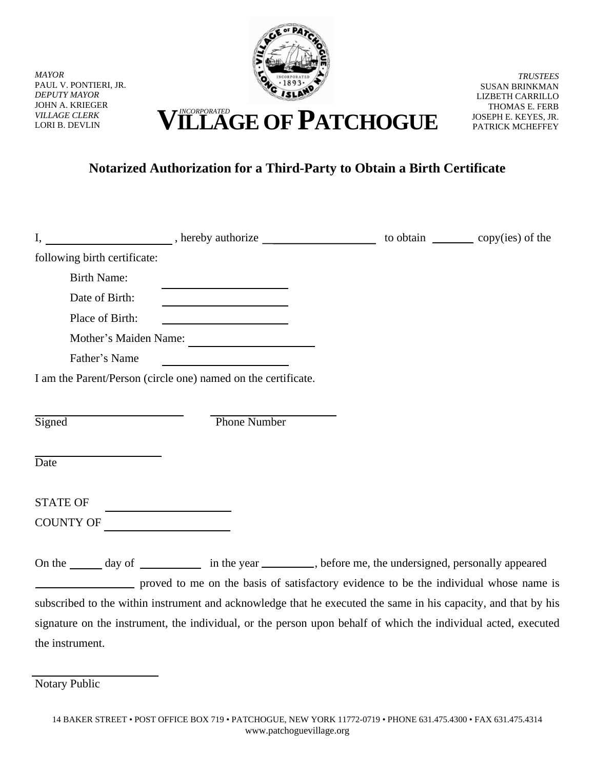

*MAYOR* PAUL V. PONTIERI, JR. *DEPUTY MAYOR* JOHN A. KRIEGER *VILLAGE CLERK*

*TRUSTEES* SUSAN BRINKMAN LIZBETH CARRILLO THOMAS E. FERB JOSEPH E. KEYES, JR. PATRICK MCHEFFEY

## VILLAGE CLERK **VILLAGE CLERK VILLAGE OF PATCHOGUE**

## **Notarized Authorization for a Third-Party to Obtain a Birth Certificate**

| I,                           |                                                               |                                                                                                                                                                                                         |  |
|------------------------------|---------------------------------------------------------------|---------------------------------------------------------------------------------------------------------------------------------------------------------------------------------------------------------|--|
| following birth certificate: |                                                               |                                                                                                                                                                                                         |  |
| <b>Birth Name:</b>           |                                                               |                                                                                                                                                                                                         |  |
| Date of Birth:               | <u> 1989 - Johann Barn, fransk politik (</u>                  |                                                                                                                                                                                                         |  |
| Place of Birth:              | <u> 1989 - Johann Barbara, martxa al</u>                      |                                                                                                                                                                                                         |  |
|                              | Mother's Maiden Name:                                         |                                                                                                                                                                                                         |  |
| Father's Name                |                                                               |                                                                                                                                                                                                         |  |
|                              | I am the Parent/Person (circle one) named on the certificate. |                                                                                                                                                                                                         |  |
|                              |                                                               |                                                                                                                                                                                                         |  |
| Signed                       | <b>Phone Number</b>                                           |                                                                                                                                                                                                         |  |
|                              |                                                               |                                                                                                                                                                                                         |  |
| Date                         |                                                               |                                                                                                                                                                                                         |  |
|                              |                                                               |                                                                                                                                                                                                         |  |
| <b>STATE OF</b>              |                                                               |                                                                                                                                                                                                         |  |
| COUNTY OF                    |                                                               |                                                                                                                                                                                                         |  |
|                              |                                                               |                                                                                                                                                                                                         |  |
|                              |                                                               | On the _______ day of _______________ in the year __________, before me, the undersigned, personally appeared                                                                                           |  |
|                              |                                                               | proved to me on the basis of satisfactory evidence to be the individual whose name is<br>subscribed to the within instrument and acknowledge that he executed the same in his capacity, and that by his |  |
|                              |                                                               |                                                                                                                                                                                                         |  |
|                              |                                                               | signature on the instrument, the individual, or the person upon behalf of which the individual acted, executed                                                                                          |  |
| the instrument.              |                                                               |                                                                                                                                                                                                         |  |

Notary Public